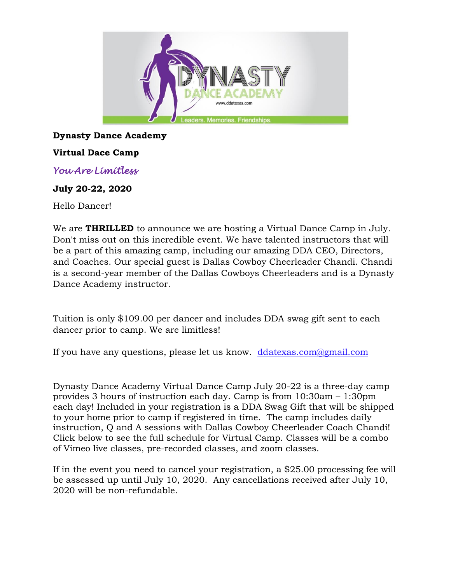

## **Dynasty Dance Academy**

### **Virtual Dace Camp**

*You Are Limitless* 

#### **July 20-22, 2020**

Hello Dancer!

We are **THRILLED** to announce we are hosting a Virtual Dance Camp in July. Don't miss out on this incredible event. We have talented instructors that will be a part of this amazing camp, including our amazing DDA CEO, Directors, and Coaches. Our special guest is Dallas Cowboy Cheerleader Chandi. Chandi is a second-year member of the Dallas Cowboys Cheerleaders and is a Dynasty Dance Academy instructor.

Tuition is only \$109.00 per dancer and includes DDA swag gift sent to each dancer prior to camp. We are limitless!

If you have any questions, please let us know. [ddatexas.com@gmail.com](mailto:ddatexas.com@gmail.com)

Dynasty Dance Academy Virtual Dance Camp July 20-22 is a three-day camp provides 3 hours of instruction each day. Camp is from 10:30am – 1:30pm each day! Included in your registration is a DDA Swag Gift that will be shipped to your home prior to camp if registered in time. The camp includes daily instruction, Q and A sessions with Dallas Cowboy Cheerleader Coach Chandi! Click below to see the full schedule for Virtual Camp. Classes will be a combo of Vimeo live classes, pre-recorded classes, and zoom classes.

If in the event you need to cancel your registration, a \$25.00 processing fee will be assessed up until July 10, 2020. Any cancellations received after July 10, 2020 will be non-refundable.